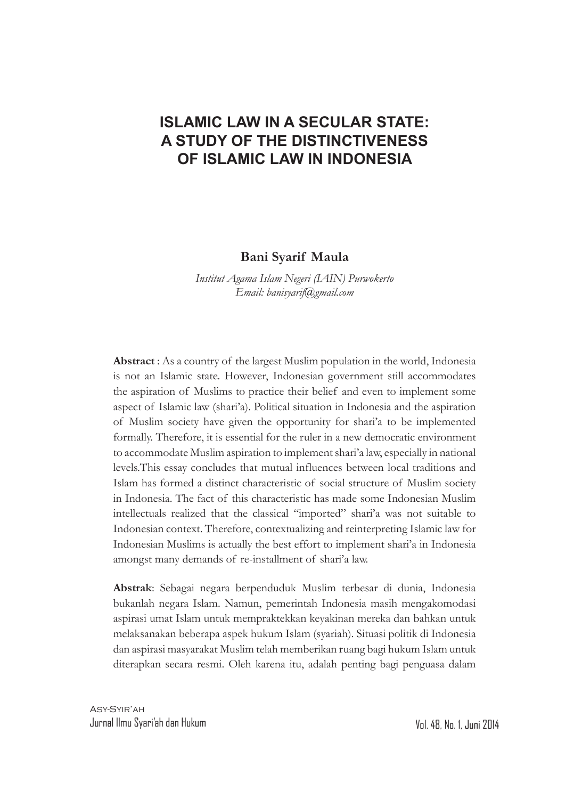# **ISLAMIC LAW IN A SECULAR STATE: A STUDY OF THE DISTINCTIVENESS OF ISLAMIC LAW IN INDONESIA**

#### **Bani Syarif Maula**

*Institut Agama Islam Negeri (IAIN) Purwokerto Email: banisyarif@gmail.com*

**Abstract** : As a country of the largest Muslim population in the world, Indonesia is not an Islamic state. However, Indonesian government still accommodates the aspiration of Muslims to practice their belief and even to implement some aspect of Islamic law (shari'a). Political situation in Indonesia and the aspiration of Muslim society have given the opportunity for shari'a to be implemented formally. Therefore, it is essential for the ruler in a new democratic environment to accommodate Muslim aspiration to implement shari'a law, especially in national levels.This essay concludes that mutual influences between local traditions and Islam has formed a distinct characteristic of social structure of Muslim society in Indonesia. The fact of this characteristic has made some Indonesian Muslim intellectuals realized that the classical "imported" shari'a was not suitable to Indonesian context. Therefore, contextualizing and reinterpreting Islamic law for Indonesian Muslims is actually the best effort to implement shari'a in Indonesia amongst many demands of re-installment of shari'a law.

**Abstrak**: Sebagai negara berpenduduk Muslim terbesar di dunia, Indonesia bukanlah negara Islam. Namun, pemerintah Indonesia masih mengakomodasi aspirasi umat Islam untuk mempraktekkan keyakinan mereka dan bahkan untuk melaksanakan beberapa aspek hukum Islam (syariah). Situasi politik di Indonesia dan aspirasi masyarakat Muslim telah memberikan ruang bagi hukum Islam untuk diterapkan secara resmi. Oleh karena itu, adalah penting bagi penguasa dalam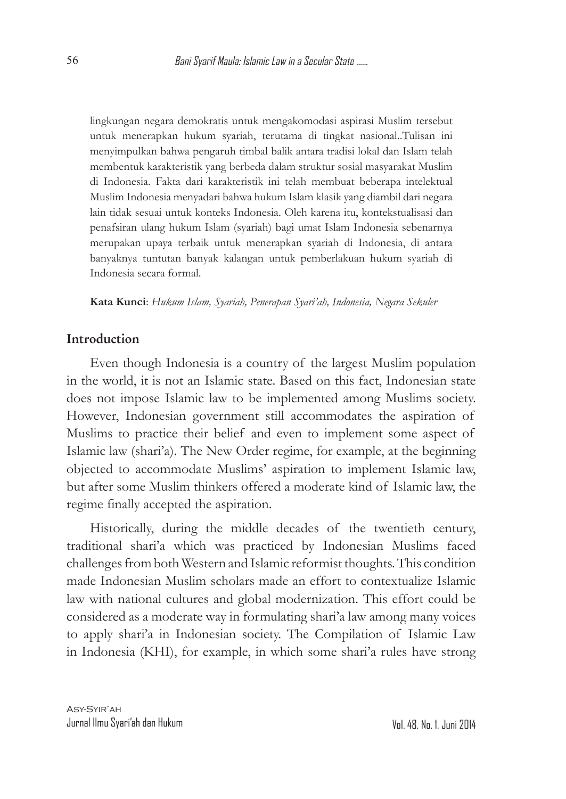lingkungan negara demokratis untuk mengakomodasi aspirasi Muslim tersebut untuk menerapkan hukum syariah, terutama di tingkat nasional..Tulisan ini menyimpulkan bahwa pengaruh timbal balik antara tradisi lokal dan Islam telah membentuk karakteristik yang berbeda dalam struktur sosial masyarakat Muslim di Indonesia. Fakta dari karakteristik ini telah membuat beberapa intelektual Muslim Indonesia menyadari bahwa hukum Islam klasik yang diambil dari negara lain tidak sesuai untuk konteks Indonesia. Oleh karena itu, kontekstualisasi dan penafsiran ulang hukum Islam (syariah) bagi umat Islam Indonesia sebenarnya merupakan upaya terbaik untuk menerapkan syariah di Indonesia, di antara banyaknya tuntutan banyak kalangan untuk pemberlakuan hukum syariah di Indonesia secara formal.

**Kata Kunci**: *Hukum Islam, Syariah, Penerapan Syari'ah, Indonesia, Negara Sekuler*

### **Introduction**

Even though Indonesia is a country of the largest Muslim population in the world, it is not an Islamic state. Based on this fact, Indonesian state does not impose Islamic law to be implemented among Muslims society. However, Indonesian government still accommodates the aspiration of Muslims to practice their belief and even to implement some aspect of Islamic law (shari'a). The New Order regime, for example, at the beginning objected to accommodate Muslims' aspiration to implement Islamic law, but after some Muslim thinkers offered a moderate kind of Islamic law, the regime finally accepted the aspiration.

Historically, during the middle decades of the twentieth century, traditional shari'a which was practiced by Indonesian Muslims faced challenges from both Western and Islamic reformist thoughts. This condition made Indonesian Muslim scholars made an effort to contextualize Islamic law with national cultures and global modernization. This effort could be considered as a moderate way in formulating shari'a law among many voices to apply shari'a in Indonesian society. The Compilation of Islamic Law in Indonesia (KHI), for example, in which some shari'a rules have strong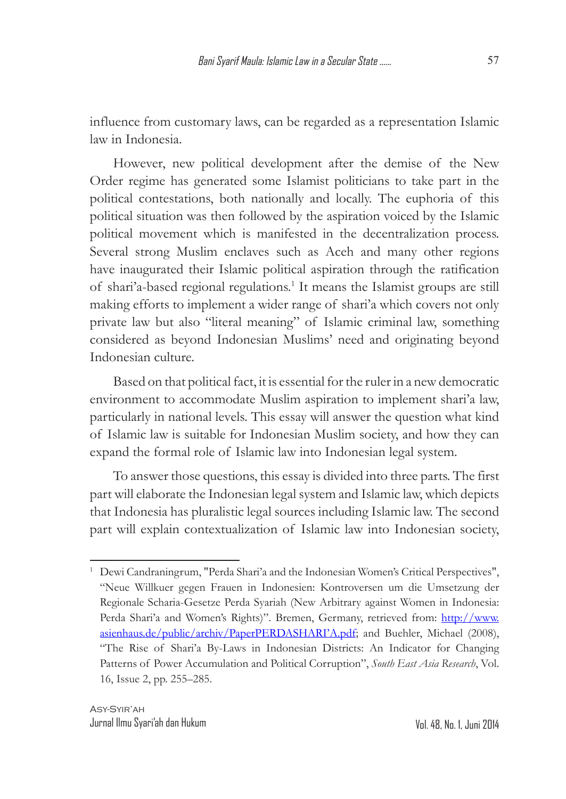influence from customary laws, can be regarded as a representation Islamic law in Indonesia.

However, new political development after the demise of the New Order regime has generated some Islamist politicians to take part in the political contestations, both nationally and locally. The euphoria of this political situation was then followed by the aspiration voiced by the Islamic political movement which is manifested in the decentralization process. Several strong Muslim enclaves such as Aceh and many other regions have inaugurated their Islamic political aspiration through the ratification of shari'a-based regional regulations.<sup>1</sup> It means the Islamist groups are still making efforts to implement a wider range of shari'a which covers not only private law but also "literal meaning" of Islamic criminal law, something considered as beyond Indonesian Muslims' need and originating beyond Indonesian culture.

Based on that political fact, it is essential for the ruler in a new democratic environment to accommodate Muslim aspiration to implement shari'a law, particularly in national levels. This essay will answer the question what kind of Islamic law is suitable for Indonesian Muslim society, and how they can expand the formal role of Islamic law into Indonesian legal system.

To answer those questions, this essay is divided into three parts. The first part will elaborate the Indonesian legal system and Islamic law, which depicts that Indonesia has pluralistic legal sources including Islamic law. The second part will explain contextualization of Islamic law into Indonesian society,

<sup>&</sup>lt;sup>1</sup> Dewi Candraningrum, "Perda Shari'a and the Indonesian Women's Critical Perspectives", "Neue Willkuer gegen Frauen in Indonesien: Kontroversen um die Umsetzung der Regionale Scharia-Gesetze Perda Syariah (New Arbitrary against Women in Indonesia: Perda Shari'a and Women's Rights)". Bremen, Germany, retrieved from: http://www. asienhaus.de/public/archiv/PaperPERDASHARI'A.pdf; and Buehler, Michael (2008), "The Rise of Shari'a By-Laws in Indonesian Districts: An Indicator for Changing Patterns of Power Accumulation and Political Corruption", *South East Asia Research*, Vol. 16, Issue 2, pp. 255–285.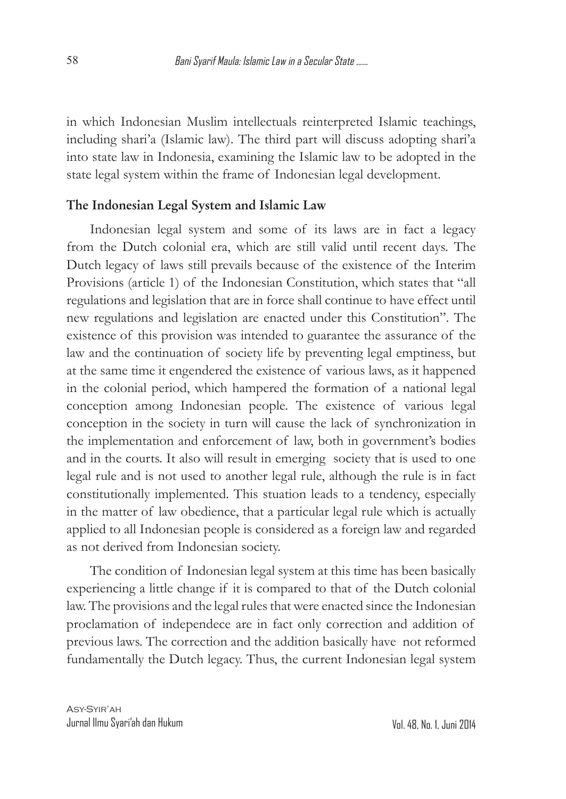in which Indonesian Muslim intellectuals reinterpreted Islamic teachings, including shari'a (Islamic law). The third part will discuss adopting shari'a into state law in Indonesia, examining the Islamic law to be adopted in the state legal system within the frame of Indonesian legal development.

#### **The Indonesian Legal System and Islamic Law**

Indonesian legal system and some of its laws are in fact a legacy from the Dutch colonial era, which are still valid until recent days. The Dutch legacy of laws still prevails because of the existence of the Interim Provisions (article 1) of the Indonesian Constitution, which states that "all regulations and legislation that are in force shall continue to have effect until new regulations and legislation are enacted under this Constitution". The existence of this provision was intended to guarantee the assurance of the law and the continuation of society life by preventing legal emptiness, but at the same time it engendered the existence of various laws, as it happened in the colonial period, which hampered the formation of a national legal conception among Indonesian people. The existence of various legal conception in the society in turn will cause the lack of synchronization in the implementation and enforcement of law, both in government's bodies and in the courts. It also will result in emerging society that is used to one legal rule and is not used to another legal rule, although the rule is in fact constitutionally implemented. This stuation leads to a tendency, especially in the matter of law obedience, that a particular legal rule which is actually applied to all Indonesian people is considered as a foreign law and regarded as not derived from Indonesian society.

The condition of Indonesian legal system at this time has been basically experiencing a little change if it is compared to that of the Dutch colonial law. The provisions and the legal rules that were enacted since the Indonesian proclamation of independece are in fact only correction and addition of previous laws. The correction and the addition basically have not reformed fundamentally the Dutch legacy. Thus, the current Indonesian legal system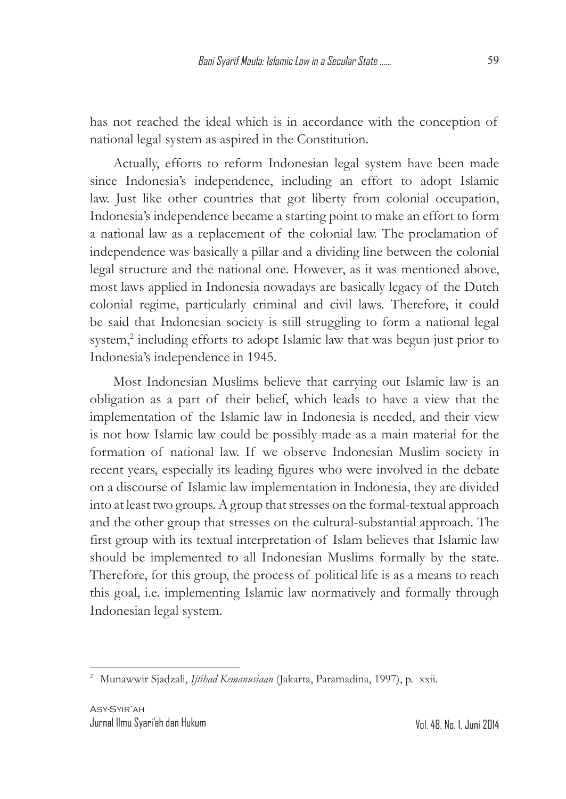has not reached the ideal which is in accordance with the conception of national legal system as aspired in the Constitution.

Actually, efforts to reform Indonesian legal system have been made since Indonesia's independence, including an effort to adopt Islamic law. Just like other countries that got liberty from colonial occupation, Indonesia's independence became a starting point to make an effort to form a national law as a replacement of the colonial law. The proclamation of independence was basically a pillar and a dividing line between the colonial legal structure and the national one. However, as it was mentioned above, most laws applied in Indonesia nowadays are basically legacy of the Dutch colonial regime, particularly criminal and civil laws. Therefore, it could be said that Indonesian society is still struggling to form a national legal system,<sup>2</sup> including efforts to adopt Islamic law that was begun just prior to Indonesia's independence in 1945.

Most Indonesian Muslims believe that carrying out Islamic law is an obligation as a part of their belief, which leads to have a view that the implementation of the Islamic law in Indonesia is needed, and their view is not how Islamic law could be possibly made as a main material for the formation of national law. If we observe Indonesian Muslim society in recent years, especially its leading figures who were involved in the debate on a discourse of Islamic law implementation in Indonesia, they are divided into at least two groups. A group that stresses on the formal-textual approach and the other group that stresses on the cultural-substantial approach. The first group with its textual interpretation of Islam believes that Islamic law should be implemented to all Indonesian Muslims formally by the state. Therefore, for this group, the process of political life is as a means to reach this goal, i.e. implementing Islamic law normatively and formally through Indonesian legal system.

<sup>2</sup> Munawwir Sjadzali, *Ijtihad Kemanusiaan* (Jakarta, Paramadina, 1997), p. xxii.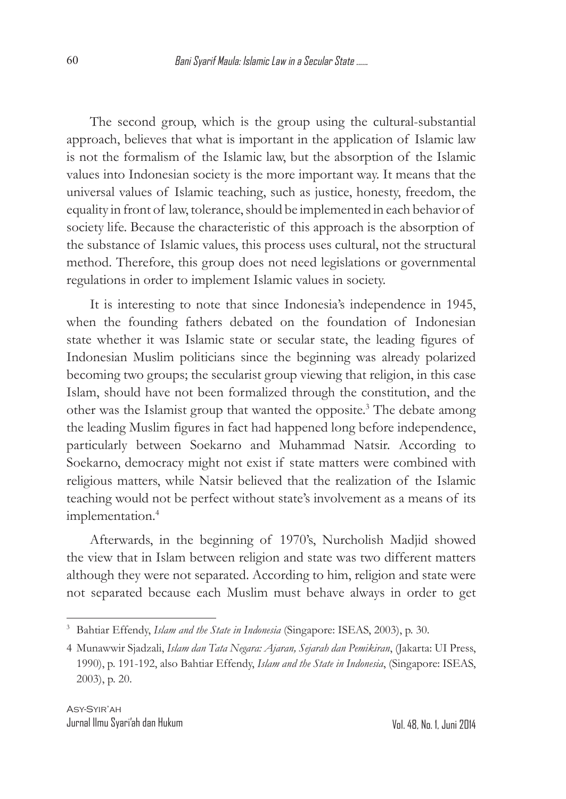The second group, which is the group using the cultural-substantial approach, believes that what is important in the application of Islamic law is not the formalism of the Islamic law, but the absorption of the Islamic values into Indonesian society is the more important way. It means that the universal values of Islamic teaching, such as justice, honesty, freedom, the equality in front of law, tolerance, should be implemented in each behavior of society life. Because the characteristic of this approach is the absorption of the substance of Islamic values, this process uses cultural, not the structural method. Therefore, this group does not need legislations or governmental regulations in order to implement Islamic values in society.

It is interesting to note that since Indonesia's independence in 1945, when the founding fathers debated on the foundation of Indonesian state whether it was Islamic state or secular state, the leading figures of Indonesian Muslim politicians since the beginning was already polarized becoming two groups; the secularist group viewing that religion, in this case Islam, should have not been formalized through the constitution, and the other was the Islamist group that wanted the opposite.<sup>3</sup> The debate among the leading Muslim figures in fact had happened long before independence, particularly between Soekarno and Muhammad Natsir. According to Soekarno, democracy might not exist if state matters were combined with religious matters, while Natsir believed that the realization of the Islamic teaching would not be perfect without state's involvement as a means of its implementation.<sup>4</sup>

Afterwards, in the beginning of 1970's, Nurcholish Madjid showed the view that in Islam between religion and state was two different matters although they were not separated. According to him, religion and state were not separated because each Muslim must behave always in order to get

<sup>3</sup> Bahtiar Effendy, *Islam and the State in Indonesia* (Singapore: ISEAS, 2003), p. 30.

<sup>4</sup> Munawwir Sjadzali, *Islam dan Tata Negara: Ajaran, Sejarah dan Pemikiran*, (Jakarta: UI Press, 1990), p. 191-192, also Bahtiar Effendy, *Islam and the State in Indonesia*, (Singapore: ISEAS, 2003), p. 20.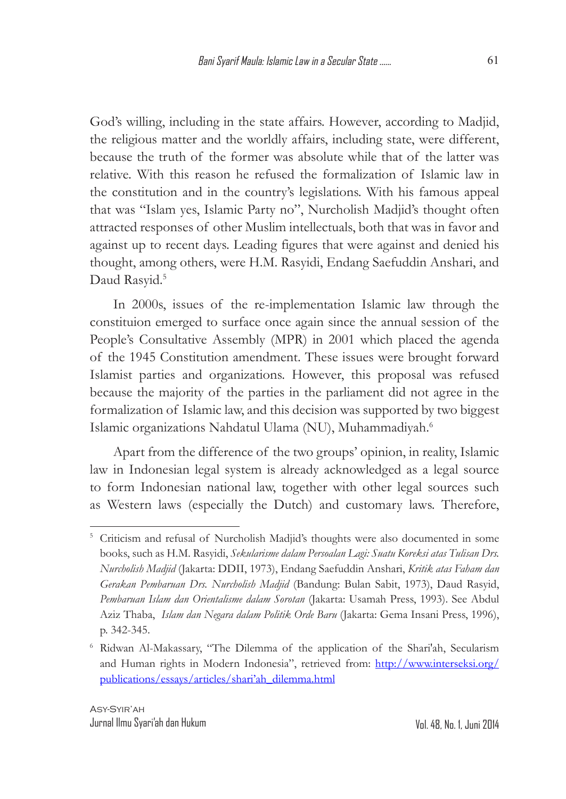God's willing, including in the state affairs. However, according to Madjid, the religious matter and the worldly affairs, including state, were different, because the truth of the former was absolute while that of the latter was relative. With this reason he refused the formalization of Islamic law in the constitution and in the country's legislations. With his famous appeal that was "Islam yes, Islamic Party no", Nurcholish Madjid's thought often attracted responses of other Muslim intellectuals, both that was in favor and against up to recent days. Leading figures that were against and denied his thought, among others, were H.M. Rasyidi, Endang Saefuddin Anshari, and Daud Rasyid.<sup>5</sup>

In 2000s, issues of the re-implementation Islamic law through the constituion emerged to surface once again since the annual session of the People's Consultative Assembly (MPR) in 2001 which placed the agenda of the 1945 Constitution amendment. These issues were brought forward Islamist parties and organizations. However, this proposal was refused because the majority of the parties in the parliament did not agree in the formalization of Islamic law, and this decision was supported by two biggest Islamic organizations Nahdatul Ulama (NU), Muhammadiyah.6

Apart from the difference of the two groups' opinion, in reality, Islamic law in Indonesian legal system is already acknowledged as a legal source to form Indonesian national law, together with other legal sources such as Western laws (especially the Dutch) and customary laws. Therefore,

<sup>&</sup>lt;sup>5</sup> Criticism and refusal of Nurcholish Madjid's thoughts were also documented in some books, such as H.M. Rasyidi, *Sekularisme dalam Persoalan Lagi: Suatu Koreksi atas Tulisan Drs. Nurcholish Madjid* (Jakarta: DDII, 1973), Endang Saefuddin Anshari, *Kritik atas Faham dan Gerakan Pembaruan Drs. Nurcholish Madjid* (Bandung: Bulan Sabit, 1973), Daud Rasyid, *Pembaruan Islam dan Orientalisme dalam Sorotan* (Jakarta: Usamah Press, 1993). See Abdul Aziz Thaba, *Islam dan Negara dalam Politik Orde Baru* (Jakarta: Gema Insani Press, 1996), p. 342-345.

<sup>6</sup> Ridwan Al-Makassary, "The Dilemma of the application of the Shari'ah, Secularism and Human rights in Modern Indonesia", retrieved from: http://www.interseksi.org/ publications/essays/articles/shari'ah\_dilemma.html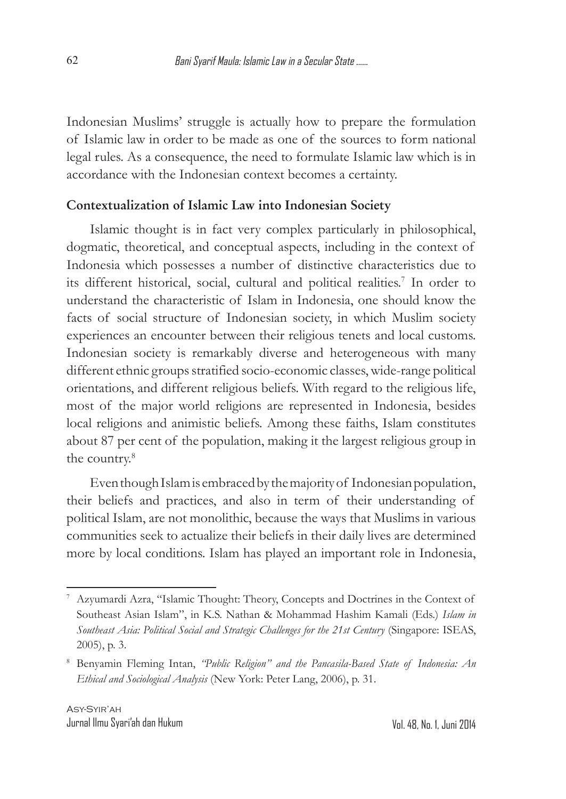Indonesian Muslims' struggle is actually how to prepare the formulation of Islamic law in order to be made as one of the sources to form national legal rules. As a consequence, the need to formulate Islamic law which is in accordance with the Indonesian context becomes a certainty.

#### **Contextualization of Islamic Law into Indonesian Society**

Islamic thought is in fact very complex particularly in philosophical, dogmatic, theoretical, and conceptual aspects, including in the context of Indonesia which possesses a number of distinctive characteristics due to its different historical, social, cultural and political realities.7 In order to understand the characteristic of Islam in Indonesia, one should know the facts of social structure of Indonesian society, in which Muslim society experiences an encounter between their religious tenets and local customs. Indonesian society is remarkably diverse and heterogeneous with many different ethnic groups stratified socio-economic classes, wide-range political orientations, and different religious beliefs. With regard to the religious life, most of the major world religions are represented in Indonesia, besides local religions and animistic beliefs. Among these faiths, Islam constitutes about 87 per cent of the population, making it the largest religious group in the country.<sup>8</sup>

Even though Islam is embraced by the majority of Indonesian population, their beliefs and practices, and also in term of their understanding of political Islam, are not monolithic, because the ways that Muslims in various communities seek to actualize their beliefs in their daily lives are determined more by local conditions. Islam has played an important role in Indonesia,

<sup>7</sup> Azyumardi Azra, "Islamic Thought: Theory, Concepts and Doctrines in the Context of Southeast Asian Islam", in K.S. Nathan & Mohammad Hashim Kamali (Eds.) *Islam in Southeast Asia: Political Social and Strategic Challenges for the 21st Century* (Singapore: ISEAS, 2005), p. 3.

<sup>8</sup> Benyamin Fleming Intan, *"Public Religion" and the Pancasila-Based State of Indonesia: An Ethical and Sociological Analysis* (New York: Peter Lang, 2006), p. 31.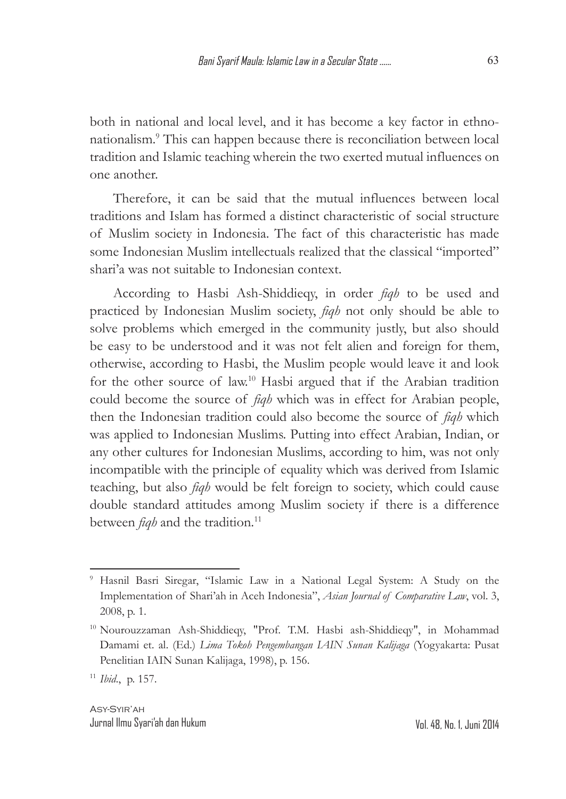both in national and local level, and it has become a key factor in ethnonationalism.9 This can happen because there is reconciliation between local tradition and Islamic teaching wherein the two exerted mutual influences on one another.

Therefore, it can be said that the mutual influences between local traditions and Islam has formed a distinct characteristic of social structure of Muslim society in Indonesia. The fact of this characteristic has made some Indonesian Muslim intellectuals realized that the classical "imported" shari'a was not suitable to Indonesian context.

According to Hasbi Ash-Shiddieqy, in order *fiqh* to be used and practiced by Indonesian Muslim society, *fiqh* not only should be able to solve problems which emerged in the community justly, but also should be easy to be understood and it was not felt alien and foreign for them, otherwise, according to Hasbi, the Muslim people would leave it and look for the other source of law.10 Hasbi argued that if the Arabian tradition could become the source of *fiqh* which was in effect for Arabian people, then the Indonesian tradition could also become the source of *fiqh* which was applied to Indonesian Muslims. Putting into effect Arabian, Indian, or any other cultures for Indonesian Muslims, according to him, was not only incompatible with the principle of equality which was derived from Islamic teaching, but also *fiqh* would be felt foreign to society, which could cause double standard attitudes among Muslim society if there is a difference between *fiqh* and the tradition.<sup>11</sup>

<sup>9</sup> Hasnil Basri Siregar, "Islamic Law in a National Legal System: A Study on the Implementation of Shari'ah in Aceh Indonesia", *Asian Journal of Comparative Law*, vol. 3, 2008, p. 1.

<sup>10</sup> Nourouzzaman Ash-Shiddieqy, "Prof. T.M. Hasbi ash-Shiddieqy", in Mohammad Damami et. al. (Ed.) *Lima Tokoh Pengembangan IAIN Sunan Kalijaga* (Yogyakarta: Pusat Penelitian IAIN Sunan Kalijaga, 1998), p. 156.

<sup>11</sup> *Ibid*., p. 157.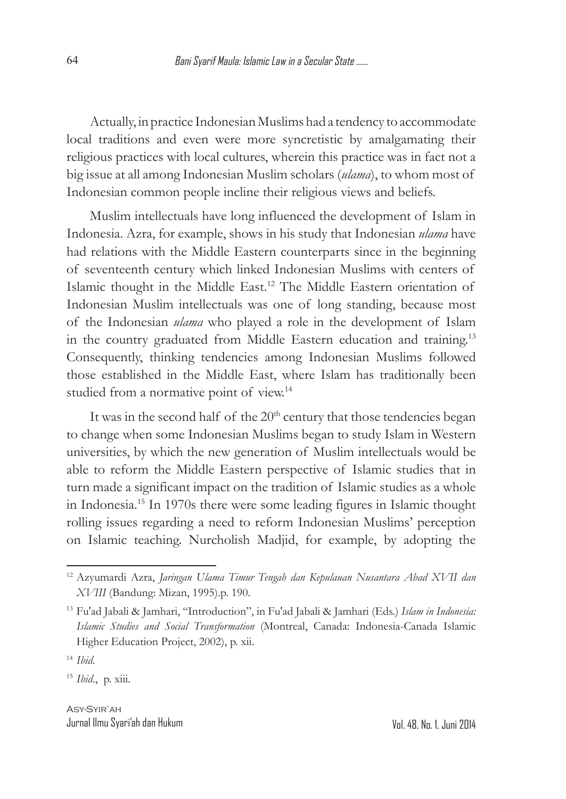Actually, in practice Indonesian Muslims had a tendency to accommodate local traditions and even were more syncretistic by amalgamating their religious practices with local cultures, wherein this practice was in fact not a big issue at all among Indonesian Muslim scholars (*ulama*), to whom most of Indonesian common people incline their religious views and beliefs.

Muslim intellectuals have long influenced the development of Islam in Indonesia. Azra, for example, shows in his study that Indonesian *ulama* have had relations with the Middle Eastern counterparts since in the beginning of seventeenth century which linked Indonesian Muslims with centers of Islamic thought in the Middle East.12 The Middle Eastern orientation of Indonesian Muslim intellectuals was one of long standing, because most of the Indonesian *ulama* who played a role in the development of Islam in the country graduated from Middle Eastern education and training.13 Consequently, thinking tendencies among Indonesian Muslims followed those established in the Middle East, where Islam has traditionally been studied from a normative point of view.<sup>14</sup>

It was in the second half of the  $20<sup>th</sup>$  century that those tendencies began to change when some Indonesian Muslims began to study Islam in Western universities, by which the new generation of Muslim intellectuals would be able to reform the Middle Eastern perspective of Islamic studies that in turn made a significant impact on the tradition of Islamic studies as a whole in Indonesia.15 In 1970s there were some leading figures in Islamic thought rolling issues regarding a need to reform Indonesian Muslims' perception on Islamic teaching. Nurcholish Madjid, for example, by adopting the

<sup>12</sup> Azyumardi Azra, *Jaringan Ulama Timur Tengah dan Kepulauan Nusantara Abad XVII dan XVIII* (Bandung: Mizan, 1995).p. 190.

<sup>13</sup> Fu'ad Jabali & Jamhari, "Introduction", in Fu'ad Jabali & Jamhari (Eds.) *Islam in Indonesia: Islamic Studies and Social Transformation* (Montreal, Canada: Indonesia-Canada Islamic Higher Education Project, 2002), p. xii.

<sup>14</sup> *Ibid*.

<sup>15</sup> *Ibid*., p. xiii.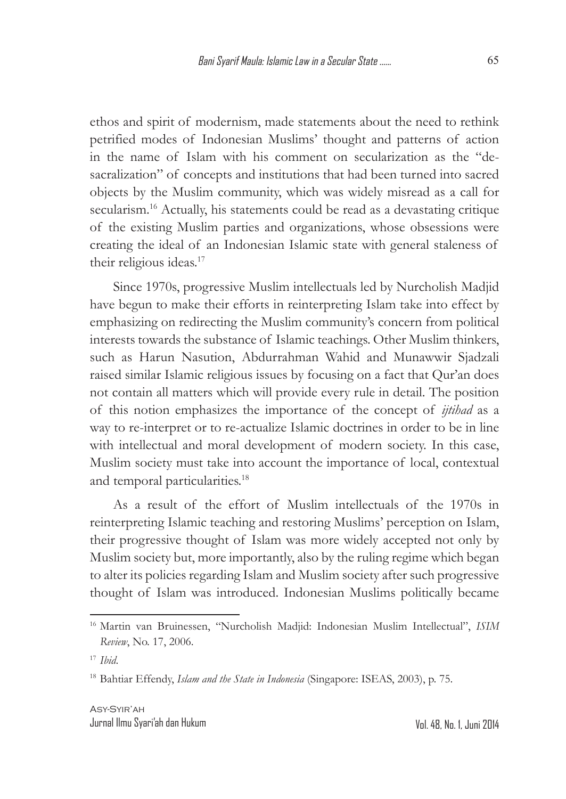ethos and spirit of modernism, made statements about the need to rethink petrified modes of Indonesian Muslims' thought and patterns of action in the name of Islam with his comment on secularization as the "desacralization" of concepts and institutions that had been turned into sacred objects by the Muslim community, which was widely misread as a call for secularism.<sup>16</sup> Actually, his statements could be read as a devastating critique of the existing Muslim parties and organizations, whose obsessions were creating the ideal of an Indonesian Islamic state with general staleness of their religious ideas.<sup>17</sup>

Since 1970s, progressive Muslim intellectuals led by Nurcholish Madjid have begun to make their efforts in reinterpreting Islam take into effect by emphasizing on redirecting the Muslim community's concern from political interests towards the substance of Islamic teachings. Other Muslim thinkers, such as Harun Nasution, Abdurrahman Wahid and Munawwir Sjadzali raised similar Islamic religious issues by focusing on a fact that Qur'an does not contain all matters which will provide every rule in detail. The position of this notion emphasizes the importance of the concept of *ijtihad* as a way to re-interpret or to re-actualize Islamic doctrines in order to be in line with intellectual and moral development of modern society. In this case, Muslim society must take into account the importance of local, contextual and temporal particularities.18

As a result of the effort of Muslim intellectuals of the 1970s in reinterpreting Islamic teaching and restoring Muslims' perception on Islam, their progressive thought of Islam was more widely accepted not only by Muslim society but, more importantly, also by the ruling regime which began to alter its policies regarding Islam and Muslim society after such progressive thought of Islam was introduced. Indonesian Muslims politically became

<sup>16</sup> Martin van Bruinessen, "Nurcholish Madjid: Indonesian Muslim Intellectual", *ISIM Review*, No. 17, 2006.

<sup>17</sup> *Ibid*.

<sup>18</sup> Bahtiar Effendy, *Islam and the State in Indonesia* (Singapore: ISEAS, 2003), p. 75.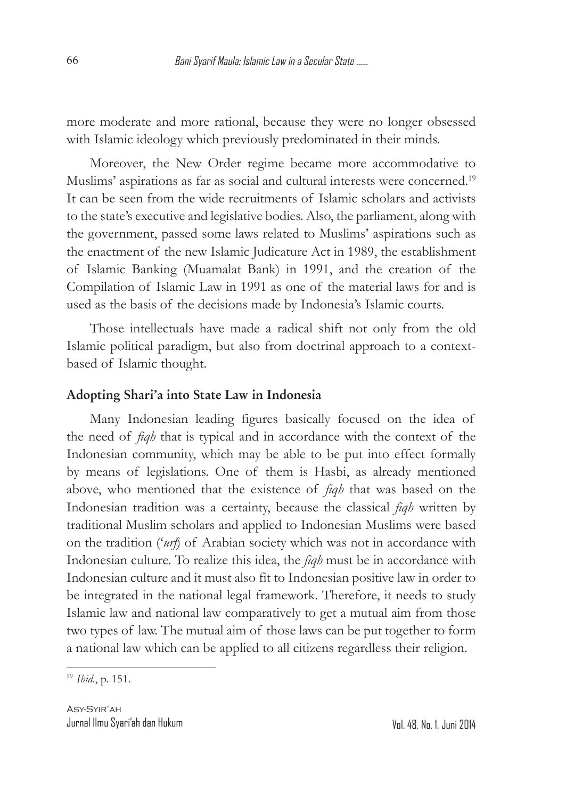more moderate and more rational, because they were no longer obsessed with Islamic ideology which previously predominated in their minds.

Moreover, the New Order regime became more accommodative to Muslims' aspirations as far as social and cultural interests were concerned.<sup>19</sup> It can be seen from the wide recruitments of Islamic scholars and activists to the state's executive and legislative bodies. Also, the parliament, along with the government, passed some laws related to Muslims' aspirations such as the enactment of the new Islamic Judicature Act in 1989, the establishment of Islamic Banking (Muamalat Bank) in 1991, and the creation of the Compilation of Islamic Law in 1991 as one of the material laws for and is used as the basis of the decisions made by Indonesia's Islamic courts.

Those intellectuals have made a radical shift not only from the old Islamic political paradigm, but also from doctrinal approach to a contextbased of Islamic thought.

#### **Adopting Shari'a into State Law in Indonesia**

Many Indonesian leading figures basically focused on the idea of the need of *fiqh* that is typical and in accordance with the context of the Indonesian community, which may be able to be put into effect formally by means of legislations. One of them is Hasbi, as already mentioned above, who mentioned that the existence of *fiqh* that was based on the Indonesian tradition was a certainty, because the classical *fiqh* written by traditional Muslim scholars and applied to Indonesian Muslims were based on the tradition ('*urf*) of Arabian society which was not in accordance with Indonesian culture. To realize this idea, the *fiqh* must be in accordance with Indonesian culture and it must also fit to Indonesian positive law in order to be integrated in the national legal framework. Therefore, it needs to study Islamic law and national law comparatively to get a mutual aim from those two types of law. The mutual aim of those laws can be put together to form a national law which can be applied to all citizens regardless their religion.

<sup>19</sup> *Ibid*., p. 151.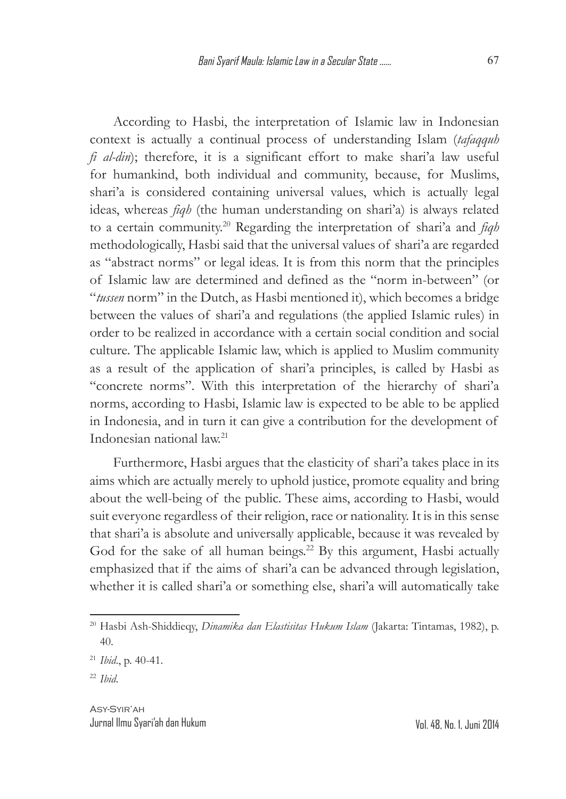According to Hasbi, the interpretation of Islamic law in Indonesian context is actually a continual process of understanding Islam (*tafaqquh fi al-din*); therefore, it is a significant effort to make shari'a law useful for humankind, both individual and community, because, for Muslims, shari'a is considered containing universal values, which is actually legal ideas, whereas *fiqh* (the human understanding on shari'a) is always related to a certain community.20 Regarding the interpretation of shari'a and *fiqh* methodologically, Hasbi said that the universal values of shari'a are regarded as "abstract norms" or legal ideas. It is from this norm that the principles of Islamic law are determined and defined as the "norm in-between" (or "*tussen* norm" in the Dutch, as Hasbi mentioned it), which becomes a bridge between the values of shari'a and regulations (the applied Islamic rules) in order to be realized in accordance with a certain social condition and social culture. The applicable Islamic law, which is applied to Muslim community as a result of the application of shari'a principles, is called by Hasbi as "concrete norms". With this interpretation of the hierarchy of shari'a norms, according to Hasbi, Islamic law is expected to be able to be applied in Indonesia, and in turn it can give a contribution for the development of Indonesian national law.21

Furthermore, Hasbi argues that the elasticity of shari'a takes place in its aims which are actually merely to uphold justice, promote equality and bring about the well-being of the public. These aims, according to Hasbi, would suit everyone regardless of their religion, race or nationality. It is in this sense that shari'a is absolute and universally applicable, because it was revealed by God for the sake of all human beings.<sup>22</sup> By this argument, Hasbi actually emphasized that if the aims of shari'a can be advanced through legislation, whether it is called shari'a or something else, shari'a will automatically take

<sup>20</sup> Hasbi Ash-Shiddieqy, *Dinamika dan Elastisitas Hukum Islam* (Jakarta: Tintamas, 1982), p. 40.

<sup>21</sup> *Ibid*., p. 40-41.

<sup>22</sup> *Ibid*.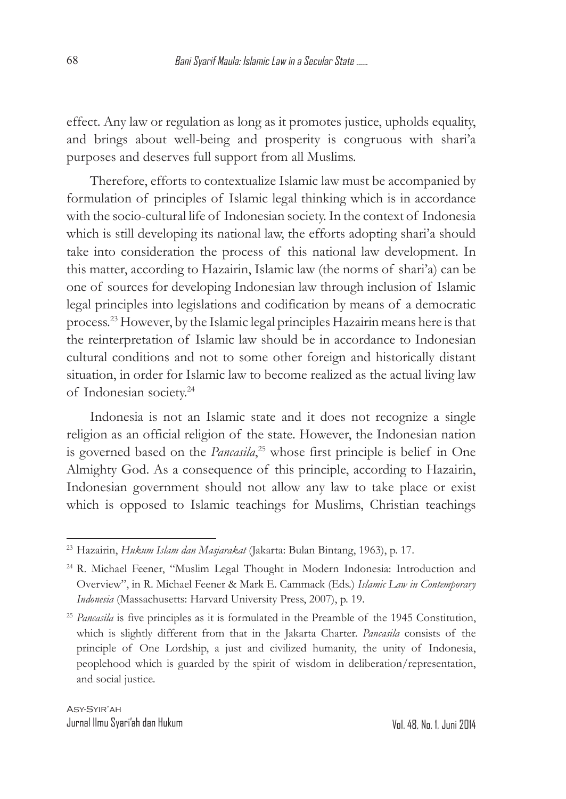effect. Any law or regulation as long as it promotes justice, upholds equality, and brings about well-being and prosperity is congruous with shari'a purposes and deserves full support from all Muslims.

Therefore, efforts to contextualize Islamic law must be accompanied by formulation of principles of Islamic legal thinking which is in accordance with the socio-cultural life of Indonesian society. In the context of Indonesia which is still developing its national law, the efforts adopting shari'a should take into consideration the process of this national law development. In this matter, according to Hazairin, Islamic law (the norms of shari'a) can be one of sources for developing Indonesian law through inclusion of Islamic legal principles into legislations and codification by means of a democratic process.23 However, by the Islamic legal principles Hazairin means here is that the reinterpretation of Islamic law should be in accordance to Indonesian cultural conditions and not to some other foreign and historically distant situation, in order for Islamic law to become realized as the actual living law of Indonesian society.24

Indonesia is not an Islamic state and it does not recognize a single religion as an official religion of the state. However, the Indonesian nation is governed based on the *Pancasila*, 25 whose first principle is belief in One Almighty God. As a consequence of this principle, according to Hazairin, Indonesian government should not allow any law to take place or exist which is opposed to Islamic teachings for Muslims, Christian teachings

<sup>23</sup> Hazairin, *Hukum Islam dan Masjarakat* (Jakarta: Bulan Bintang, 1963), p. 17.

<sup>24</sup> R. Michael Feener, "Muslim Legal Thought in Modern Indonesia: Introduction and Overview", in R. Michael Feener & Mark E. Cammack (Eds.) *Islamic Law in Contemporary Indonesia* (Massachusetts: Harvard University Press, 2007), p. 19.

<sup>25</sup> *Pancasila* is five principles as it is formulated in the Preamble of the 1945 Constitution, which is slightly different from that in the Jakarta Charter. *Pancasila* consists of the principle of One Lordship, a just and civilized humanity, the unity of Indonesia, peoplehood which is guarded by the spirit of wisdom in deliberation/representation, and social justice.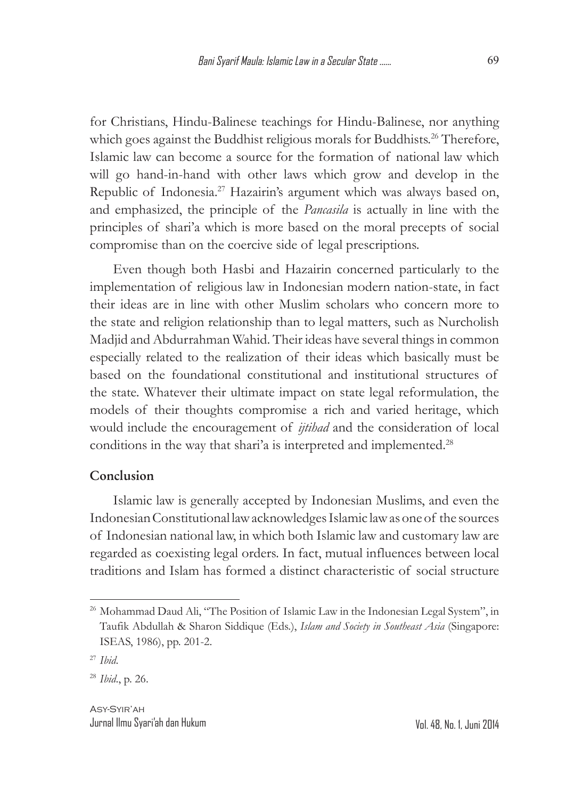for Christians, Hindu-Balinese teachings for Hindu-Balinese, nor anything which goes against the Buddhist religious morals for Buddhists.<sup>26</sup> Therefore, Islamic law can become a source for the formation of national law which will go hand-in-hand with other laws which grow and develop in the Republic of Indonesia.<sup>27</sup> Hazairin's argument which was always based on, and emphasized, the principle of the *Pancasila* is actually in line with the principles of shari'a which is more based on the moral precepts of social compromise than on the coercive side of legal prescriptions.

Even though both Hasbi and Hazairin concerned particularly to the implementation of religious law in Indonesian modern nation-state, in fact their ideas are in line with other Muslim scholars who concern more to the state and religion relationship than to legal matters, such as Nurcholish Madjid and Abdurrahman Wahid. Their ideas have several things in common especially related to the realization of their ideas which basically must be based on the foundational constitutional and institutional structures of the state. Whatever their ultimate impact on state legal reformulation, the models of their thoughts compromise a rich and varied heritage, which would include the encouragement of *ijtihad* and the consideration of local conditions in the way that shari'a is interpreted and implemented.<sup>28</sup>

## **Conclusion**

Islamic law is generally accepted by Indonesian Muslims, and even the Indonesian Constitutional law acknowledges Islamic law as one of the sources of Indonesian national law, in which both Islamic law and customary law are regarded as coexisting legal orders. In fact, mutual influences between local traditions and Islam has formed a distinct characteristic of social structure

<sup>&</sup>lt;sup>26</sup> Mohammad Daud Ali, "The Position of Islamic Law in the Indonesian Legal System", in Taufik Abdullah & Sharon Siddique (Eds.), *Islam and Society in Southeast Asia* (Singapore: ISEAS, 1986), pp. 201-2.

<sup>27</sup> *Ibid*.

<sup>28</sup> *Ibid*., p. 26.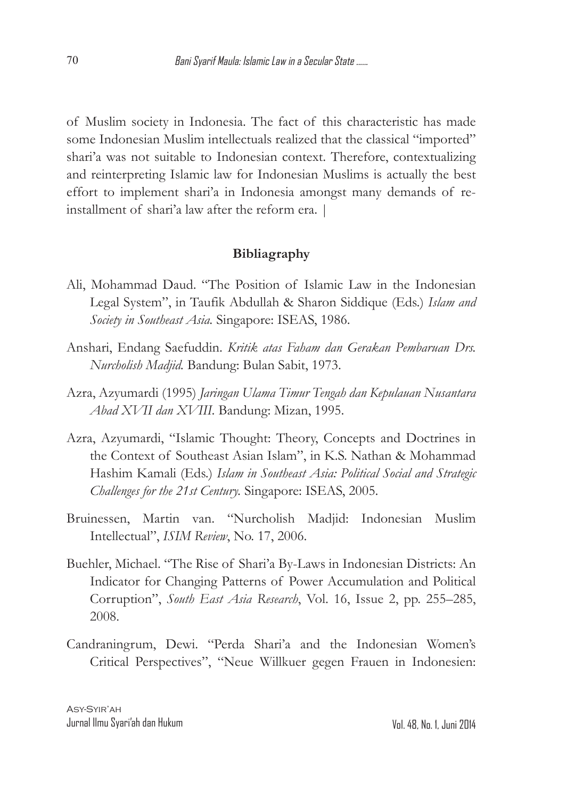of Muslim society in Indonesia. The fact of this characteristic has made some Indonesian Muslim intellectuals realized that the classical "imported" shari'a was not suitable to Indonesian context. Therefore, contextualizing and reinterpreting Islamic law for Indonesian Muslims is actually the best effort to implement shari'a in Indonesia amongst many demands of reinstallment of shari'a law after the reform era. |

## **Bibliagraphy**

- Ali, Mohammad Daud. "The Position of Islamic Law in the Indonesian Legal System", in Taufik Abdullah & Sharon Siddique (Eds.) *Islam and Society in Southeast Asia.* Singapore: ISEAS, 1986.
- Anshari, Endang Saefuddin. *Kritik atas Faham dan Gerakan Pembaruan Drs. Nurcholish Madjid.* Bandung: Bulan Sabit, 1973.
- Azra, Azyumardi (1995) *Jaringan Ulama Timur Tengah dan Kepulauan Nusantara Abad XVII dan XVIII.* Bandung: Mizan, 1995.
- Azra, Azyumardi, "Islamic Thought: Theory, Concepts and Doctrines in the Context of Southeast Asian Islam", in K.S. Nathan & Mohammad Hashim Kamali (Eds.) *Islam in Southeast Asia: Political Social and Strategic Challenges for the 21st Century.* Singapore: ISEAS, 2005.
- Bruinessen, Martin van. "Nurcholish Madjid: Indonesian Muslim Intellectual", *ISIM Review*, No. 17, 2006.
- Buehler, Michael. "The Rise of Shari'a By-Laws in Indonesian Districts: An Indicator for Changing Patterns of Power Accumulation and Political Corruption", *South East Asia Research*, Vol. 16, Issue 2, pp. 255–285, 2008.
- Candraningrum, Dewi. "Perda Shari'a and the Indonesian Women's Critical Perspectives", "Neue Willkuer gegen Frauen in Indonesien: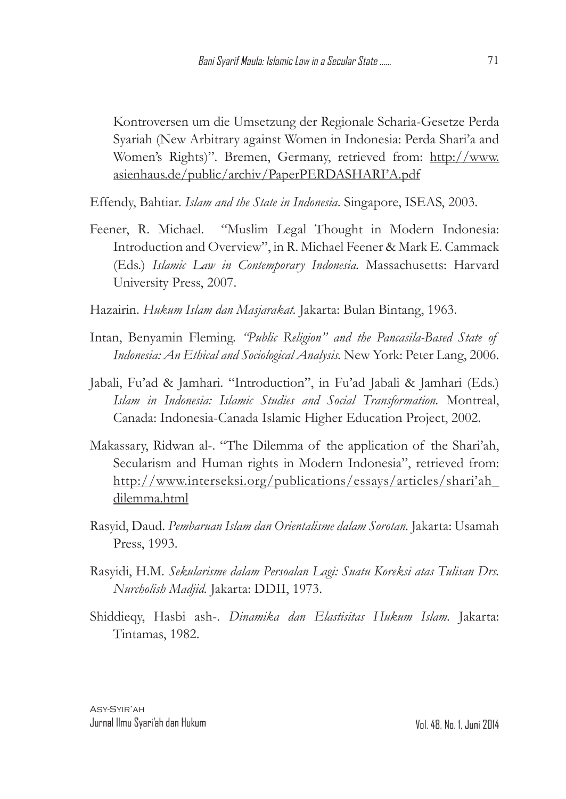Kontroversen um die Umsetzung der Regionale Scharia-Gesetze Perda Syariah (New Arbitrary against Women in Indonesia: Perda Shari'a and Women's Rights)". Bremen, Germany, retrieved from: http://www. asienhaus.de/public/archiv/PaperPERDASHARI'A.pdf

Effendy, Bahtiar. *Islam and the State in Indonesia*. Singapore, ISEAS, 2003.

Feener, R. Michael. "Muslim Legal Thought in Modern Indonesia: Introduction and Overview", in R. Michael Feener & Mark E. Cammack (Eds.) *Islamic Law in Contemporary Indonesia.* Massachusetts: Harvard University Press, 2007.

Hazairin. *Hukum Islam dan Masjarakat.* Jakarta: Bulan Bintang, 1963.

- Intan, Benyamin Fleming. *"Public Religion" and the Pancasila-Based State of Indonesia: An Ethical and Sociological Analysis.* New York: Peter Lang, 2006.
- Jabali, Fu'ad & Jamhari. "Introduction", in Fu'ad Jabali & Jamhari (Eds.) *Islam in Indonesia: Islamic Studies and Social Transformation.* Montreal, Canada: Indonesia-Canada Islamic Higher Education Project, 2002.
- Makassary, Ridwan al-. "The Dilemma of the application of the Shari'ah, Secularism and Human rights in Modern Indonesia", retrieved from: http://www.interseksi.org/publications/essays/articles/shari'ah\_ dilemma.html
- Rasyid, Daud. *Pembaruan Islam dan Orientalisme dalam Sorotan.* Jakarta: Usamah Press, 1993.
- Rasyidi, H.M. *Sekularisme dalam Persoalan Lagi: Suatu Koreksi atas Tulisan Drs. Nurcholish Madjid.* Jakarta: DDII, 1973.
- Shiddieqy, Hasbi ash-. *Dinamika dan Elastisitas Hukum Islam.* Jakarta: Tintamas, 1982.